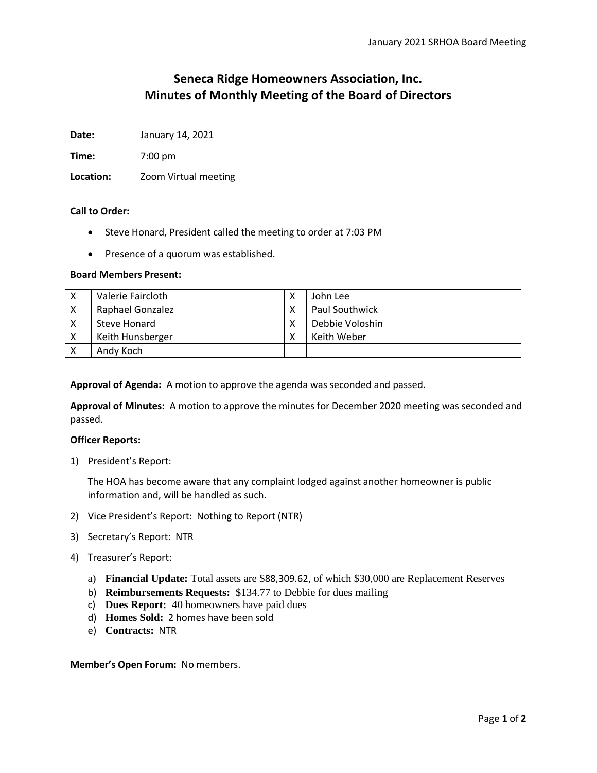# **Seneca Ridge Homeowners Association, Inc. Minutes of Monthly Meeting of the Board of Directors**

**Date:** January 14, 2021

**Time:** 7:00 pm

**Location:** Zoom Virtual meeting

## **Call to Order:**

- Steve Honard, President called the meeting to order at 7:03 PM
- Presence of a quorum was established.

## **Board Members Present:**

| Valerie Faircloth       | John Lee              |
|-------------------------|-----------------------|
| <b>Raphael Gonzalez</b> | <b>Paul Southwick</b> |
| Steve Honard            | Debbie Voloshin       |
| Keith Hunsberger        | Keith Weber           |
| Andy Koch               |                       |

**Approval of Agenda:** A motion to approve the agenda was seconded and passed.

**Approval of Minutes:** A motion to approve the minutes for December 2020 meeting was seconded and passed.

## **Officer Reports:**

1) President's Report:

The HOA has become aware that any complaint lodged against another homeowner is public information and, will be handled as such.

- 2) Vice President's Report: Nothing to Report (NTR)
- 3) Secretary's Report: NTR
- 4) Treasurer's Report:
	- a) **Financial Update:** Total assets are \$88,309.62, of which \$30,000 are Replacement Reserves
	- b) **Reimbursements Requests:** \$134.77 to Debbie for dues mailing
	- c) **Dues Report:** 40 homeowners have paid dues
	- d) **Homes Sold:** 2 homes have been sold
	- e) **Contracts:** NTR

#### **Member's Open Forum:** No members.